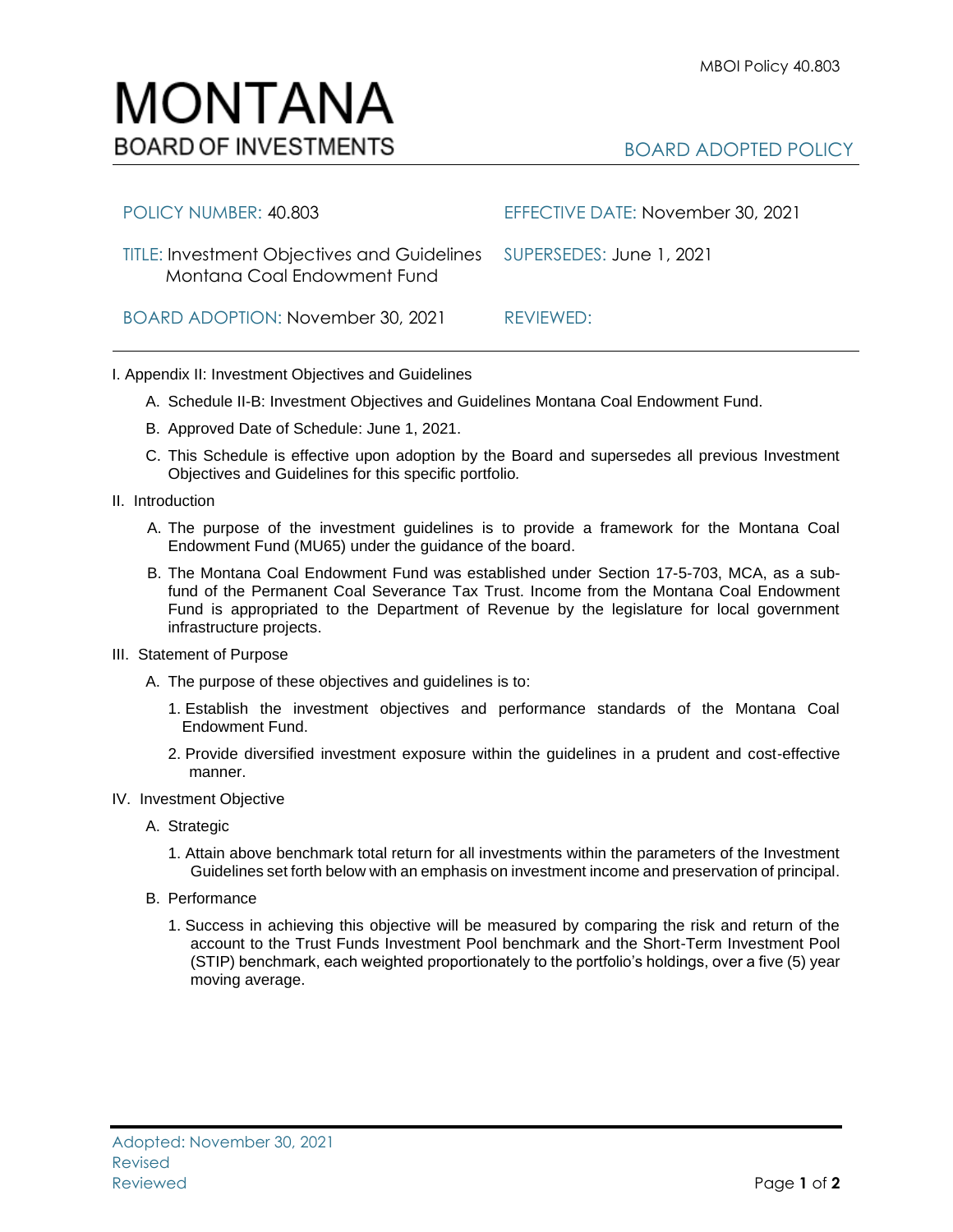## MONTANA **BOARD OF INVESTMENTS**

| POLICY NUMBER: 40.803                                                                               | EFFECTIVE DATE: November 30, 2021 |
|-----------------------------------------------------------------------------------------------------|-----------------------------------|
| TITLE: Investment Objectives and Guidelines SUPERSEDES: June 1, 2021<br>Montana Coal Endowment Fund |                                   |
| BOARD ADOPTION: November 30, 2021                                                                   | REVIEWED:                         |

## I. Appendix II: Investment Objectives and Guidelines

- A. Schedule II-B: Investment Objectives and Guidelines Montana Coal Endowment Fund.
- B. Approved Date of Schedule: June 1, 2021.
- C. This Schedule is effective upon adoption by the Board and supersedes all previous Investment Objectives and Guidelines for this specific portfolio*.*
- II. Introduction
	- A. The purpose of the investment guidelines is to provide a framework for the Montana Coal Endowment Fund (MU65) under the guidance of the board.
	- B. The Montana Coal Endowment Fund was established under Section 17-5-703, MCA, as a subfund of the Permanent Coal Severance Tax Trust. Income from the Montana Coal Endowment Fund is appropriated to the Department of Revenue by the legislature for local government infrastructure projects.
- III. Statement of Purpose
	- A. The purpose of these objectives and guidelines is to:
		- 1. Establish the investment objectives and performance standards of the Montana Coal Endowment Fund.
		- 2. Provide diversified investment exposure within the guidelines in a prudent and cost-effective manner.
- IV. Investment Objective
	- A. Strategic
		- 1. Attain above benchmark total return for all investments within the parameters of the Investment Guidelines set forth below with an emphasis on investment income and preservation of principal.
	- B. Performance
		- 1. Success in achieving this objective will be measured by comparing the risk and return of the account to the Trust Funds Investment Pool benchmark and the Short-Term Investment Pool (STIP) benchmark, each weighted proportionately to the portfolio's holdings, over a five (5) year moving average.